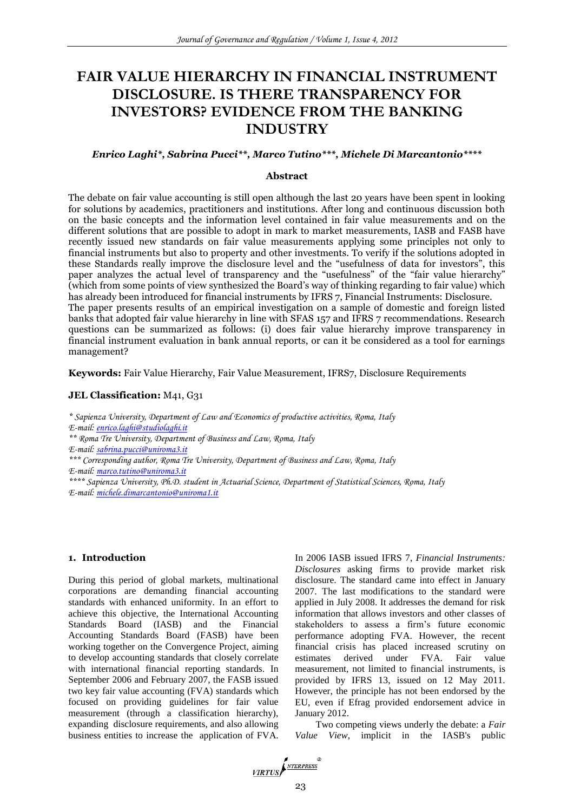# **FAIR VALUE HIERARCHY IN FINANCIAL INSTRUMENT DISCLOSURE. IS THERE TRANSPARENCY FOR INVESTORS? EVIDENCE FROM THE BANKING INDUSTRY**

# *Enrico Laghi\*, Sabrina Pucci\*\*, Marco Tutino\*\*\*, Michele Di Marcantonio\*\*\*\**

# **Abstract**

The debate on fair value accounting is still open although the last 20 years have been spent in looking for solutions by academics, practitioners and institutions. After long and continuous discussion both on the basic concepts and the information level contained in fair value measurements and on the different solutions that are possible to adopt in mark to market measurements, IASB and FASB have recently issued new standards on fair value measurements applying some principles not only to financial instruments but also to property and other investments. To verify if the solutions adopted in these Standards really improve the disclosure level and the "usefulness of data for investors", this paper analyzes the actual level of transparency and the "usefulness" of the "fair value hierarchy" (which from some points of view synthesized the Board's way of thinking regarding to fair value) which has already been introduced for financial instruments by IFRS 7, Financial Instruments: Disclosure. The paper presents results of an empirical investigation on a sample of domestic and foreign listed banks that adopted fair value hierarchy in line with SFAS 157 and IFRS 7 recommendations. Research questions can be summarized as follows: (i) does fair value hierarchy improve transparency in financial instrument evaluation in bank annual reports, or can it be considered as a tool for earnings management?

**Keywords:** Fair Value Hierarchy, Fair Value Measurement, IFRS7, Disclosure Requirements

# JEL Classification: M41, G31

*\* Sapienza University, Department of Law and Economics of productive activities, Roma, Italy E-mail: [enrico.laghi@studiolaghi.it](mailto:enrico.laghi@studiolaghi.it)*

*\*\* Roma Tre University, Department of Business and Law, Roma, Italy*

*E-mail: [sabrina.pucci@uniroma3.it](mailto:sabrina.pucci@uniroma3.it)*

*\*\*\* Corresponding author, Roma Tre University, Department of Business and Law, Roma, Italy E-mail: [marco.tutino@uniroma3.it](mailto:marco.tutino@uniroma3.it)*

*\*\*\*\* Sapienza University, Ph.D. student in Actuarial Science, Department of Statistical Sciences, Roma, Italy E-mail: [michele.dimarcantonio@uniroma1.it](mailto:michele.dimarcantonio@uniroma1.it)*

# **1. Introduction**

During this period of global markets, multinational corporations are demanding financial accounting standards with enhanced uniformity. In an effort to achieve this objective, the International Accounting Standards Board (IASB) and the Financial Accounting Standards Board (FASB) have been working together on the Convergence Project, aiming to develop accounting standards that closely correlate with international financial reporting standards. In September 2006 and February 2007, the FASB issued two key fair value accounting (FVA) standards which focused on providing guidelines for fair value measurement (through a classification hierarchy), expanding disclosure requirements, and also allowing business entities to increase the application of FVA. In 2006 IASB issued IFRS 7, *Financial Instruments: Disclosures* asking firms to provide market risk disclosure. The standard came into effect in January 2007. The last modifications to the standard were applied in July 2008. It addresses the demand for risk information that allows investors and other classes of stakeholders to assess a firm's future economic performance adopting FVA. However, the recent financial crisis has placed increased scrutiny on estimates derived under FVA. Fair value measurement, not limited to financial instruments, is provided by IFRS 13, issued on 12 May 2011. However, the principle has not been endorsed by the EU, even if Efrag provided endorsement advice in January 2012.

Two competing views underly the debate: a *Fair Value View*, implicit in the IASB's public

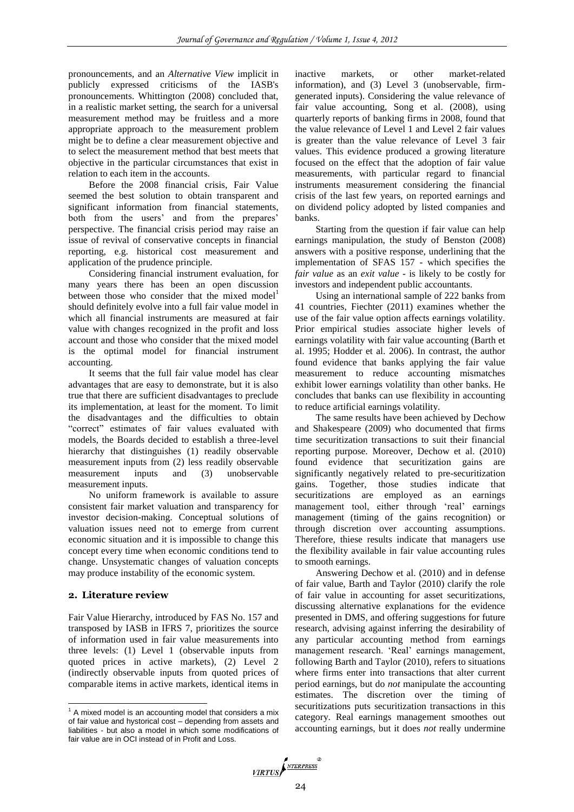pronouncements, and an *Alternative View* implicit in publicly expressed criticisms of the IASB's pronouncements. Whittington (2008) concluded that, in a realistic market setting, the search for a universal measurement method may be fruitless and a more appropriate approach to the measurement problem might be to define a clear measurement objective and to select the measurement method that best meets that objective in the particular circumstances that exist in relation to each item in the accounts.

Before the 2008 financial crisis, Fair Value seemed the best solution to obtain transparent and significant information from financial statements, both from the users' and from the prepares' perspective. The financial crisis period may raise an issue of revival of conservative concepts in financial reporting, e.g. historical cost measurement and application of the prudence principle.

Considering financial instrument evaluation, for many years there has been an open discussion between those who consider that the mixed model<sup>1</sup> should definitely evolve into a full fair value model in which all financial instruments are measured at fair value with changes recognized in the profit and loss account and those who consider that the mixed model is the optimal model for financial instrument accounting.

It seems that the full fair value model has clear advantages that are easy to demonstrate, but it is also true that there are sufficient disadvantages to preclude its implementation, at least for the moment. To limit the disadvantages and the difficulties to obtain "correct" estimates of fair values evaluated with models, the Boards decided to establish a three-level hierarchy that distinguishes (1) readily observable measurement inputs from (2) less readily observable measurement inputs and (3) unobservable measurement inputs.

No uniform framework is available to assure consistent fair market valuation and transparency for investor decision-making. Conceptual solutions of valuation issues need not to emerge from current economic situation and it is impossible to change this concept every time when economic conditions tend to change. Unsystematic changes of valuation concepts may produce instability of the economic system.

# **2. Literature review**

 $\overline{a}$ 

Fair Value Hierarchy, introduced by FAS No. 157 and transposed by IASB in IFRS 7, prioritizes the source of information used in fair value measurements into three levels: (1) Level 1 (observable inputs from quoted prices in active markets), (2) Level 2 (indirectly observable inputs from quoted prices of comparable items in active markets, identical items in inactive markets, or other market-related information), and (3) Level 3 (unobservable, firmgenerated inputs). Considering the value relevance of fair value accounting, Song et al. (2008), using quarterly reports of banking firms in 2008, found that the value relevance of Level 1 and Level 2 fair values is greater than the value relevance of Level 3 fair values. This evidence produced a growing literature focused on the effect that the adoption of fair value measurements, with particular regard to financial instruments measurement considering the financial crisis of the last few years, on reported earnings and on dividend policy adopted by listed companies and banks.

Starting from the question if fair value can help earnings manipulation, the study of Benston (2008) answers with a positive response, underlining that the implementation of SFAS 157 - which specifies the *fair value* as an *exit value* - is likely to be costly for investors and independent public accountants.

Using an international sample of 222 banks from 41 countries, Fiechter (2011) examines whether the use of the fair value option affects earnings volatility. Prior empirical studies associate higher levels of earnings volatility with fair value accounting (Barth et al. 1995; Hodder et al. 2006). In contrast, the author found evidence that banks applying the fair value measurement to reduce accounting mismatches exhibit lower earnings volatility than other banks. He concludes that banks can use flexibility in accounting to reduce artificial earnings volatility.

The same results have been achieved by Dechow and Shakespeare (2009) who documented that firms time securitization transactions to suit their financial reporting purpose. Moreover, Dechow et al. (2010) found evidence that securitization gains are significantly negatively related to pre-securitization gains. Together, those studies indicate that securitizations are employed as an earnings management tool, either through 'real' earnings management (timing of the gains recognition) or through discretion over accounting assumptions. Therefore, thiese results indicate that managers use the flexibility available in fair value accounting rules to smooth earnings.

Answering Dechow et al. (2010) and in defense of fair value, Barth and Taylor (2010) clarify the role of fair value in accounting for asset securitizations, discussing alternative explanations for the evidence presented in DMS, and offering suggestions for future research, advising against inferring the desirability of any particular accounting method from earnings management research. 'Real' earnings management, following Barth and Taylor (2010), refers to situations where firms enter into transactions that alter current period earnings, but do *not* manipulate the accounting estimates. The discretion over the timing of securitizations puts securitization transactions in this category. Real earnings management smoothes out accounting earnings, but it does *not* really undermine



 $1$  A mixed model is an accounting model that considers a mix of fair value and hystorical cost – depending from assets and liabilities - but also a model in which some modifications of fair value are in OCI instead of in Profit and Loss.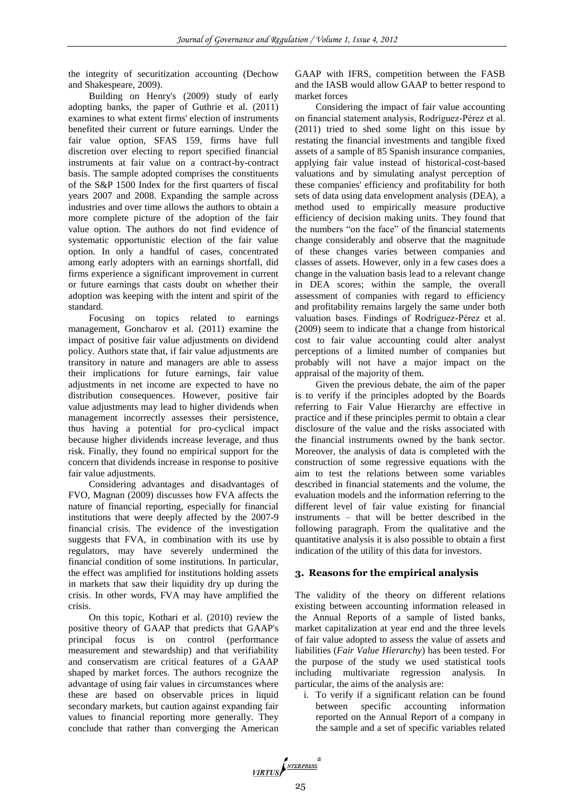the integrity of securitization accounting (Dechow and Shakespeare, 2009).

Building on Henry's (2009) study of early adopting banks, the paper of Guthrie et al. (2011) examines to what extent firms' election of instruments benefited their current or future earnings. Under the fair value option, SFAS 159, firms have full discretion over electing to report specified financial instruments at fair value on a contract-by-contract basis. The sample adopted comprises the constituents of the S&P 1500 Index for the first quarters of fiscal years 2007 and 2008. Expanding the sample across industries and over time allows the authors to obtain a more complete picture of the adoption of the fair value option. The authors do not find evidence of systematic opportunistic election of the fair value option. In only a handful of cases, concentrated among early adopters with an earnings shortfall, did firms experience a significant improvement in current or future earnings that casts doubt on whether their adoption was keeping with the intent and spirit of the standard.

Focusing on topics related to earnings management, Goncharov et al. (2011) examine the impact of positive fair value adjustments on dividend policy. Authors state that, if fair value adjustments are transitory in nature and managers are able to assess their implications for future earnings, fair value adjustments in net income are expected to have no distribution consequences. However, positive fair value adjustments may lead to higher dividends when management incorrectly assesses their persistence, thus having a potential for pro-cyclical impact because higher dividends increase leverage, and thus risk. Finally, they found no empirical support for the concern that dividends increase in response to positive fair value adjustments.

Considering advantages and disadvantages of FVO, Magnan (2009) discusses how FVA affects the nature of financial reporting, especially for financial institutions that were deeply affected by the 2007-9 financial crisis. The evidence of the investigation suggests that FVA, in combination with its use by regulators, may have severely undermined the financial condition of some institutions. In particular, the effect was amplified for institutions holding assets in markets that saw their liquidity dry up during the crisis. In other words, FVA may have amplified the crisis.

On this topic, Kothari et al. (2010) review the positive theory of GAAP that predicts that GAAP's principal focus is on control (performance measurement and stewardship) and that verifiability and conservatism are critical features of a GAAP shaped by market forces. The authors recognize the advantage of using fair values in circumstances where these are based on observable prices in liquid secondary markets, but caution against expanding fair values to financial reporting more generally. They conclude that rather than converging the American GAAP with IFRS, competition between the FASB and the IASB would allow GAAP to better respond to market forces

Considering the impact of fair value accounting on financial statement analysis, Rodríguez-Pérez et al. (2011) tried to shed some light on this issue by restating the financial investments and tangible fixed assets of a sample of 85 Spanish insurance companies, applying fair value instead of historical-cost-based valuations and by simulating analyst perception of these companies' efficiency and profitability for both sets of data using data envelopment analysis (DEA), a method used to empirically measure productive efficiency of decision making units. They found that the numbers "on the face" of the financial statements change considerably and observe that the magnitude of these changes varies between companies and classes of assets. However, only in a few cases does a change in the valuation basis lead to a relevant change in DEA scores; within the sample, the overall assessment of companies with regard to efficiency and profitability remains largely the same under both valuation bases. Findings of Rodríguez-Pérez et al. (2009) seem to indicate that a change from historical cost to fair value accounting could alter analyst perceptions of a limited number of companies but probably will not have a major impact on the appraisal of the majority of them.

Given the previous debate, the aim of the paper is to verify if the principles adopted by the Boards referring to Fair Value Hierarchy are effective in practice and if these principles permit to obtain a clear disclosure of the value and the risks associated with the financial instruments owned by the bank sector. Moreover, the analysis of data is completed with the construction of some regressive equations with the aim to test the relations between some variables described in financial statements and the volume, the evaluation models and the information referring to the different level of fair value existing for financial instruments – that will be better described in the following paragraph. From the qualitative and the quantitative analysis it is also possible to obtain a first indication of the utility of this data for investors.

# **3. Reasons for the empirical analysis**

The validity of the theory on different relations existing between accounting information released in the Annual Reports of a sample of listed banks, market capitalization at year end and the three levels of fair value adopted to assess the value of assets and liabilities (*Fair Value Hierarchy*) has been tested. For the purpose of the study we used statistical tools including multivariate regression analysis. In particular, the aims of the analysis are:

i. To verify if a significant relation can be found between specific accounting information reported on the Annual Report of a company in the sample and a set of specific variables related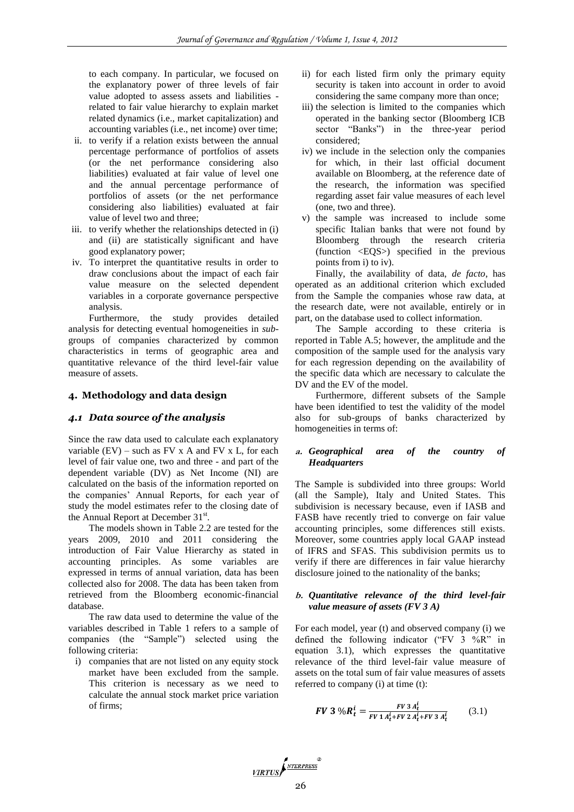to each company. In particular, we focused on the explanatory power of three levels of fair value adopted to assess assets and liabilities related to fair value hierarchy to explain market related dynamics (i.e., market capitalization) and accounting variables (i.e., net income) over time;

- ii. to verify if a relation exists between the annual percentage performance of portfolios of assets (or the net performance considering also liabilities) evaluated at fair value of level one and the annual percentage performance of portfolios of assets (or the net performance considering also liabilities) evaluated at fair value of level two and three;
- iii. to verify whether the relationships detected in (i) and (ii) are statistically significant and have good explanatory power;
- iv. To interpret the quantitative results in order to draw conclusions about the impact of each fair value measure on the selected dependent variables in a corporate governance perspective analysis.

Furthermore, the study provides detailed analysis for detecting eventual homogeneities in *sub*groups of companies characterized by common characteristics in terms of geographic area and quantitative relevance of the third level-fair value measure of assets.

# **4. Methodology and data design**

# *4.1 Data source of the analysis*

Since the raw data used to calculate each explanatory variable  $(EV)$  – such as  $FV$  x A and  $FV$  x L, for each level of fair value one, two and three - and part of the dependent variable (DV) as Net Income (NI) are calculated on the basis of the information reported on the companies' Annual Reports, for each year of study the model estimates refer to the closing date of the Annual Report at December 31<sup>st</sup>.

The models shown in Table 2.2 are tested for the years 2009, 2010 and 2011 considering the introduction of Fair Value Hierarchy as stated in accounting principles. As some variables are expressed in terms of annual variation, data has been collected also for 2008. The data has been taken from retrieved from the Bloomberg economic-financial database.

The raw data used to determine the value of the variables described in Table 1 refers to a sample of companies (the "Sample") selected using the following criteria:

i) companies that are not listed on any equity stock market have been excluded from the sample. This criterion is necessary as we need to calculate the annual stock market price variation of firms;

- ii) for each listed firm only the primary equity security is taken into account in order to avoid considering the same company more than once;
- iii) the selection is limited to the companies which operated in the banking sector (Bloomberg ICB sector "Banks") in the three-year period considered;
- iv) we include in the selection only the companies for which, in their last official document available on Bloomberg, at the reference date of the research, the information was specified regarding asset fair value measures of each level (one, two and three).
- v) the sample was increased to include some specific Italian banks that were not found by Bloomberg through the research criteria (function <EQS>) specified in the previous points from i) to iv).

Finally, the availability of data, *de facto*, has operated as an additional criterion which excluded from the Sample the companies whose raw data, at the research date, were not available, entirely or in part, on the database used to collect information.

The Sample according to these criteria is reported in Table A.5; however, the amplitude and the composition of the sample used for the analysis vary for each regression depending on the availability of the specific data which are necessary to calculate the DV and the EV of the model.

Furthermore, different subsets of the Sample have been identified to test the validity of the model also for sub-groups of banks characterized by homogeneities in terms of:

# **a.** *Geographical area of the country of Headquarters*

The Sample is subdivided into three groups: World (all the Sample), Italy and United States. This subdivision is necessary because, even if IASB and FASB have recently tried to converge on fair value accounting principles, some differences still exists. Moreover, some countries apply local GAAP instead of IFRS and SFAS. This subdivision permits us to verify if there are differences in fair value hierarchy disclosure joined to the nationality of the banks;

# **b.** *Quantitative relevance of the third level-fair value measure of assets (FV 3 A)*

For each model, year (t) and observed company (i) we defined the following indicator ("FV 3 %R" in equation 3.1), which expresses the quantitative relevance of the third level-fair value measure of assets on the total sum of fair value measures of assets referred to company (i) at time (t):

$$
FV \ 3 \ \%R_t^i = \frac{FV \ 3 \ A_t^i}{FV \ 1 \ A_t^i + FV \ 2 \ A_t^i + FV \ 3 \ A_t^i} \tag{3.1}
$$

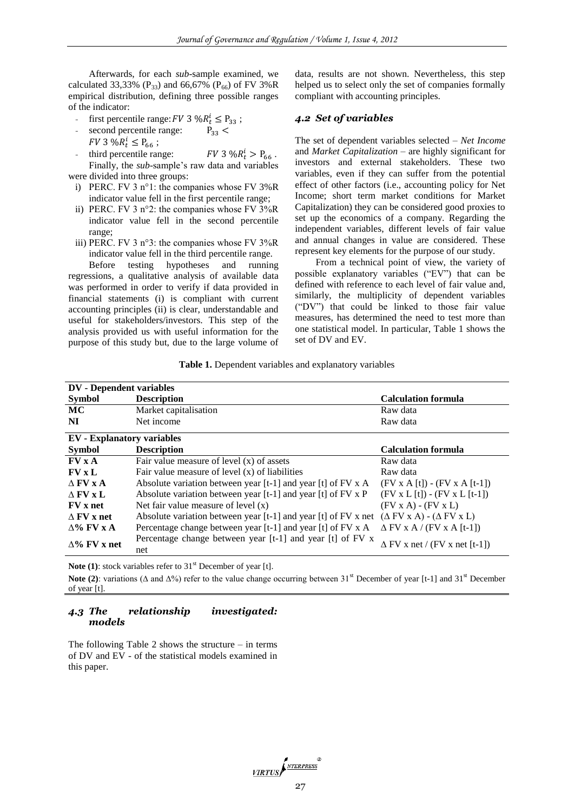Afterwards, for each *sub*-sample examined, we calculated 33,33% (P<sub>33</sub>) and 66,67% (P<sub>66</sub>) of FV 3%R empirical distribution, defining three possible ranges of the indicator:

- first percentile range:  $FV$  3 % $R_t^i \leq P_{33}$ ;
- second percentile range:  $P_{33}$  <  $FV$  3 % $R_t^i \leq P_{66}$ ;
- third percentile range:  $FV$  3 % $R_t^i > P_{66}$ . Finally, the *sub*-sample's raw data and variables were divided into three groups:

i) PERC. FV 3 n°1: the companies whose FV 3%R indicator value fell in the first percentile range;

- ii) PERC. FV 3 n°2: the companies whose FV 3%R indicator value fell in the second percentile range;
- iii) PERC. FV 3 n°3: the companies whose FV 3%R indicator value fell in the third percentile range.

Before testing hypotheses and running regressions, a qualitative analysis of available data was performed in order to verify if data provided in financial statements (i) is compliant with current accounting principles (ii) is clear, understandable and useful for stakeholders/investors. This step of the analysis provided us with useful information for the purpose of this study but, due to the large volume of data, results are not shown. Nevertheless, this step helped us to select only the set of companies formally compliant with accounting principles.

#### *4.2 Set of variables*

The set of dependent variables selected – *Net Income* and *Market Capitalization* – are highly significant for investors and external stakeholders. These two variables, even if they can suffer from the potential effect of other factors (i.e., accounting policy for Net Income; short term market conditions for Market Capitalization) they can be considered good proxies to set up the economics of a company. Regarding the independent variables, different levels of fair value and annual changes in value are considered. These represent key elements for the purpose of our study.

From a technical point of view, the variety of possible explanatory variables ("EV") that can be defined with reference to each level of fair value and, similarly, the multiplicity of dependent variables ("DV") that could be linked to those fair value measures, has determined the need to test more than one statistical model. In particular, Table 1 shows the set of DV and EV.

**Table 1.** Dependent variables and explanatory variables

| <b>DV</b> - Dependent variables   |                                                                                                      |                                         |  |  |  |  |  |  |
|-----------------------------------|------------------------------------------------------------------------------------------------------|-----------------------------------------|--|--|--|--|--|--|
| <b>Symbol</b>                     | <b>Description</b>                                                                                   | <b>Calculation formula</b>              |  |  |  |  |  |  |
| <b>MC</b>                         | Market capitalisation                                                                                | Raw data                                |  |  |  |  |  |  |
| NI                                | Net income                                                                                           | Raw data                                |  |  |  |  |  |  |
| <b>EV</b> - Explanatory variables |                                                                                                      |                                         |  |  |  |  |  |  |
| <b>Symbol</b>                     | <b>Description</b>                                                                                   | <b>Calculation formula</b>              |  |  |  |  |  |  |
| $\bf FV \times A$                 | Fair value measure of level $(x)$ of assets                                                          | Raw data                                |  |  |  |  |  |  |
| $\bf FV \times L$                 | Fair value measure of level $(x)$ of liabilities                                                     | Raw data                                |  |  |  |  |  |  |
| $\Lambda$ FV x A                  | Absolute variation between year [t-1] and year [t] of FV x A                                         | $(FV \times A[t]) - (FV \times A[t-1])$ |  |  |  |  |  |  |
| $\wedge$ FV x L                   | Absolute variation between year [t-1] and year [t] of FV x P                                         | $(FV x L[t]) - (FV x L[t-1])$           |  |  |  |  |  |  |
| <b>FV</b> x net                   | Net fair value measure of level $(x)$                                                                | $(FV X A) - (FV X L)$                   |  |  |  |  |  |  |
| $\wedge$ FV x net                 | Absolute variation between year [t-1] and year [t] of FV x net $(\Delta$ FV x A) - $(\Delta$ FV x L) |                                         |  |  |  |  |  |  |
| $\Delta\%$ FV x A                 | Percentage change between year [t-1] and year [t] of FV x A                                          | $\Delta$ FV x A / (FV x A [t-1])        |  |  |  |  |  |  |
| $\wedge\%$ FV x net               | Percentage change between year [t-1] and year [t] of FV x<br>net                                     | $\Delta$ FV x net / (FV x net [t-1])    |  |  |  |  |  |  |

**Note (1)**: stock variables refer to 31<sup>st</sup> December of year [t].

Note (2): variations (Δ and Δ%) refer to the value change occurring between 31<sup>st</sup> December of year [t-1] and 31<sup>st</sup> December of year [t].

#### *4.3 The relationship investigated: models*

The following Table 2 shows the structure  $-$  in terms of DV and EV - of the statistical models examined in this paper.

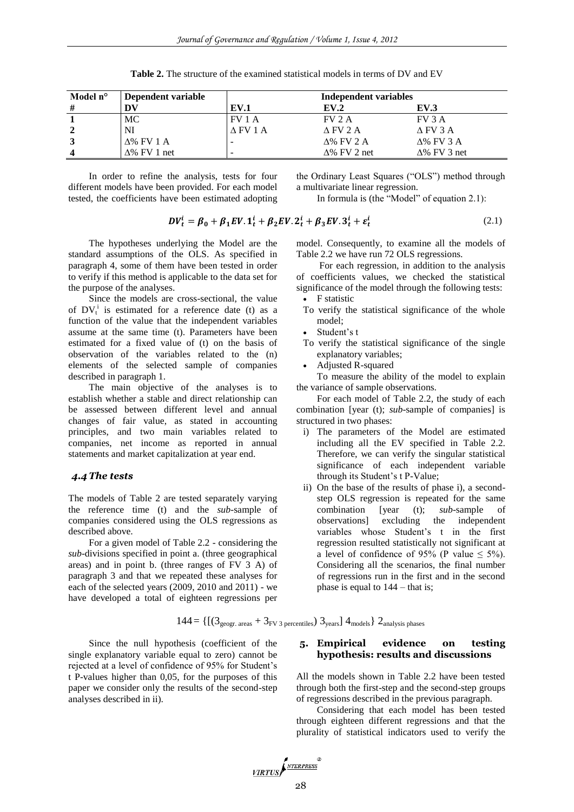| Model n°         | Dependent variable  | Independent variables |                     |                     |  |  |  |
|------------------|---------------------|-----------------------|---------------------|---------------------|--|--|--|
| #                | DV                  | <b>EV.1</b>           | EV.2                | <b>EV.3</b>         |  |  |  |
|                  | MC                  | FV1A                  | FV2A                | FV 3 A              |  |  |  |
|                  | NI                  | $\triangle$ FV 1 A    | $\triangle$ FV 2 A  | $\triangle$ FV 3 A  |  |  |  |
|                  | $\Delta\%$ FV 1 A   |                       | $\Lambda$ % FV 2 A  | $\lambda\%$ FV 3 A  |  |  |  |
| $\boldsymbol{4}$ | $\Delta\%$ FV 1 net |                       | $\Delta\%$ FV 2 net | $\Delta\%$ FV 3 net |  |  |  |

**Table 2.** The structure of the examined statistical models in terms of DV and EV

In order to refine the analysis, tests for four different models have been provided. For each model tested, the coefficients have been estimated adopting

the Ordinary Least Squares ("OLS") method through a multivariate linear regression.

In formula is (the "Model" of equation 2.1):

$$
DV_t^i = \beta_0 + \beta_1 EV \cdot 1_t^i + \beta_2 EV \cdot 2_t^i + \beta_3 EV \cdot 3_t^i + \varepsilon_t^i
$$
\n(2.1)

The hypotheses underlying the Model are the standard assumptions of the OLS. As specified in paragraph 4, some of them have been tested in order to verify if this method is applicable to the data set for the purpose of the analyses.

Since the models are cross-sectional, the value of  $DV_t^i$  is estimated for a reference date (t) as a function of the value that the independent variables assume at the same time (t). Parameters have been estimated for a fixed value of (t) on the basis of observation of the variables related to the (n) elements of the selected sample of companies described in paragraph 1.

The main objective of the analyses is to establish whether a stable and direct relationship can be assessed between different level and annual changes of fair value, as stated in accounting principles, and two main variables related to companies, net income as reported in annual statements and market capitalization at year end.

# *4.4 The tests*

The models of Table 2 are tested separately varying the reference time (t) and the *sub*-sample of companies considered using the OLS regressions as described above.

For a given model of Table 2.2 - considering the *sub*-divisions specified in point a. (three geographical areas) and in point b. (three ranges of FV 3 A) of paragraph 3 and that we repeated these analyses for each of the selected years (2009, 2010 and 2011) - we have developed a total of eighteen regressions per

model. Consequently, to examine all the models of Table 2.2 we have run 72 OLS regressions.

For each regression, in addition to the analysis of coefficients values, we checked the statistical significance of the model through the following tests:

- F statistic
- To verify the statistical significance of the whole model;
- Student's t
- To verify the statistical significance of the single explanatory variables;
- Adjusted R-squared

To measure the ability of the model to explain the variance of sample observations.

For each model of Table 2.2, the study of each combination [year (t); *sub*-sample of companies] is structured in two phases:

- i) The parameters of the Model are estimated including all the EV specified in Table 2.2. Therefore, we can verify the singular statistical significance of each independent variable through its Student's t P-Value;
- ii) On the base of the results of phase i), a secondstep OLS regression is repeated for the same combination [year (t); *sub*-sample of observations] excluding the independent variables whose Student's t in the first regression resulted statistically not significant at a level of confidence of 95% (P value  $\leq$  5%). Considering all the scenarios, the final number of regressions run in the first and in the second phase is equal to 144 – that is;

 $144 = \left\{ \left[ (3_{\text{geogr. areas}} + 3_{\text{FV 3 percentiles}}) 3_{\text{years}} \right] 4_{\text{models}} \right\} 2_{\text{analysis phases}}$ 

Since the null hypothesis (coefficient of the single explanatory variable equal to zero) cannot be rejected at a level of confidence of 95% for Student's t P-values higher than 0,05, for the purposes of this paper we consider only the results of the second-step analyses described in ii).

### **5. Empirical evidence on testing hypothesis: results and discussions**

All the models shown in Table 2.2 have been tested through both the first-step and the second-step groups of regressions described in the previous paragraph.

Considering that each model has been tested through eighteen different regressions and that the plurality of statistical indicators used to verify the

$$
\underbrace{\textit{VIRTUS}} \sum_{\textit{NTERPRESS}}^{\textit{NTERPRESS}}
$$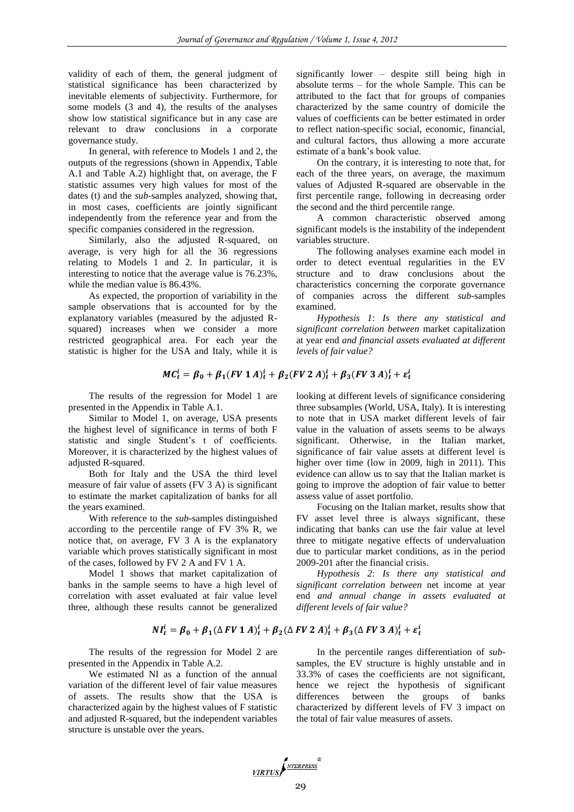validity of each of them, the general judgment of statistical significance has been characterized by inevitable elements of subjectivity. Furthermore, for some models (3 and 4), the results of the analyses show low statistical significance but in any case are relevant to draw conclusions in a corporate governance study.

In general, with reference to Models 1 and 2, the outputs of the regressions (shown in Appendix, Table A.1 and Table A.2) highlight that, on average, the F statistic assumes very high values for most of the dates (t) and the *sub*-samples analyzed, showing that, in most cases, coefficients are jointly significant independently from the reference year and from the specific companies considered in the regression.

Similarly, also the adjusted R-squared, on average, is very high for all the 36 regressions relating to Models 1 and 2. In particular, it is interesting to notice that the average value is 76.23%, while the median value is 86.43%.

As expected, the proportion of variability in the sample observations that is accounted for by the explanatory variables (measured by the adjusted Rsquared) increases when we consider a more restricted geographical area. For each year the statistic is higher for the USA and Italy, while it is

$$
MC_t^i = \beta_0 + \beta_1 (FV \, 1 \, A)_t^i + \beta_2 (FV \, 2 \, A)_t^i + \beta_3 (FV \, 3 \, A)_t^i + \varepsilon_t^i
$$

The results of the regression for Model 1 are presented in the Appendix in Table A.1.

Similar to Model 1, on average, USA presents the highest level of significance in terms of both F statistic and single Student's t of coefficients. Moreover, it is characterized by the highest values of adjusted R-squared.

Both for Italy and the USA the third level measure of fair value of assets (FV 3 A) is significant to estimate the market capitalization of banks for all the years examined.

With reference to the *sub*-samples distinguished according to the percentile range of FV 3% R, we notice that, on average, FV 3 A is the explanatory variable which proves statistically significant in most of the cases, followed by FV 2 A and FV 1 A.

Model 1 shows that market capitalization of banks in the sample seems to have a high level of correlation with asset evaluated at fair value level three, although these results cannot be generalized

 $NI_t^i = \beta_0 + \beta_1 (\Delta F V \mathbf{1} A)_t^i + \beta_2 (\Delta F V \mathbf{2} A)_t^i + \beta_3 (\Delta F V \mathbf{3} A)_t^i + \varepsilon_t^i$ 

The results of the regression for Model 2 are presented in the Appendix in Table A.2.

We estimated NI as a function of the annual variation of the different level of fair value measures of assets. The results show that the USA is characterized again by the highest values of F statistic and adjusted R-squared, but the independent variables structure is unstable over the years.

significantly lower – despite still being high in absolute terms – for the whole Sample. This can be attributed to the fact that for groups of companies characterized by the same country of domicile the values of coefficients can be better estimated in order to reflect nation-specific social, economic, financial, and cultural factors, thus allowing a more accurate estimate of a bank's book value.

On the contrary, it is interesting to note that, for each of the three years, on average, the maximum values of Adjusted R-squared are observable in the first percentile range, following in decreasing order the second and the third percentile range.

A common characteristic observed among significant models is the instability of the independent variables structure.

The following analyses examine each model in order to detect eventual regularities in the EV structure and to draw conclusions about the characteristics concerning the corporate governance of companies across the different *sub*-samples examined.

*Hypothesis 1*: *Is there any statistical and significant correlation between* market capitalization at year end *and financial assets evaluated at different levels of fair value?*

looking at different levels of significance considering three subsamples (World, USA, Italy). It is interesting to note that in USA market different levels of fair value in the valuation of assets seems to be always significant. Otherwise, in the Italian market, significance of fair value assets at different level is higher over time (low in 2009, high in 2011). This evidence can allow us to say that the Italian market is going to improve the adoption of fair value to better assess value of asset portfolio.

Focusing on the Italian market, results show that FV asset level three is always significant, these indicating that banks can use the fair value at level three to mitigate negative effects of undervaluation due to particular market conditions, as in the period 2009-201 after the financial crisis.

*Hypothesis 2*: *Is there any statistical and significant correlation between* net income at year end *and annual change in assets evaluated at different levels of fair value?*

In the percentile ranges differentiation of *sub*samples, the EV structure is highly unstable and in 33.3% of cases the coefficients are not significant, hence we reject the hypothesis of significant differences between the groups of banks characterized by different levels of FV 3 impact on the total of fair value measures of assets.

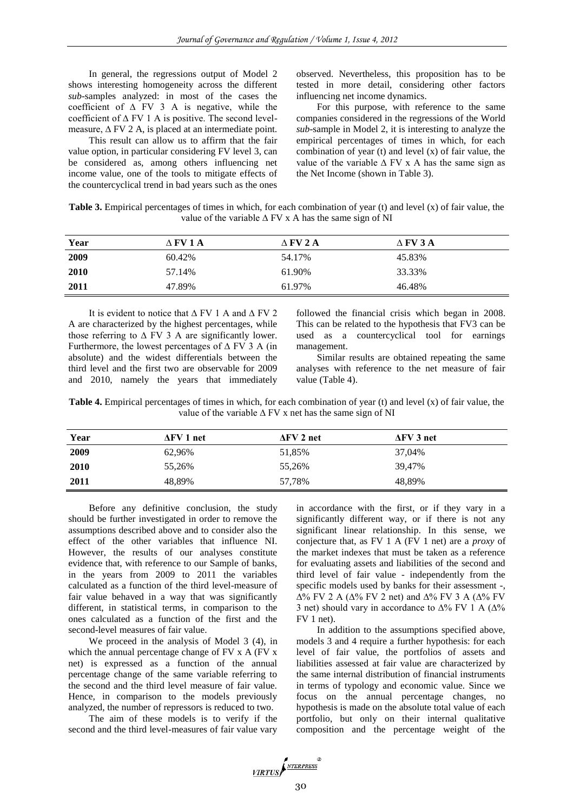In general, the regressions output of Model 2 shows interesting homogeneity across the different *sub*-samples analyzed: in most of the cases the coefficient of ∆ FV 3 A is negative, while the coefficient of  $\Delta$  FV 1 A is positive. The second levelmeasure, ∆ FV 2 A, is placed at an intermediate point.

This result can allow us to affirm that the fair value option, in particular considering FV level 3, can be considered as, among others influencing net income value, one of the tools to mitigate effects of the countercyclical trend in bad years such as the ones

observed. Nevertheless, this proposition has to be tested in more detail, considering other factors influencing net income dynamics.

For this purpose, with reference to the same companies considered in the regressions of the World *sub*-sample in Model 2, it is interesting to analyze the empirical percentages of times in which, for each combination of year (t) and level (x) of fair value, the value of the variable  $\Delta$  FV x A has the same sign as the Net Income (shown in Table 3).

| Table 3. Empirical percentages of times in which, for each combination of year (t) and level (x) of fair value, the |  |
|---------------------------------------------------------------------------------------------------------------------|--|
| value of the variable $\triangle$ FV x A has the same sign of NI                                                    |  |

| Year | Δ FV 1 A | $\triangle$ FV 2 A | $\wedge$ FV 3 A |
|------|----------|--------------------|-----------------|
| 2009 | 60.42%   | 54.17%             | 45.83%          |
| 2010 | 57.14%   | 61.90%             | 33.33%          |
| 2011 | 47.89%   | 61.97%             | 46.48%          |

It is evident to notice that ∆ FV 1 A and ∆ FV 2 A are characterized by the highest percentages, while those referring to  $\triangle$  FV 3 A are significantly lower. Furthermore, the lowest percentages of  $\triangle$  FV 3 A (in absolute) and the widest differentials between the third level and the first two are observable for 2009 and 2010, namely the years that immediately followed the financial crisis which began in 2008. This can be related to the hypothesis that FV3 can be used as a countercyclical tool for earnings management.

Similar results are obtained repeating the same analyses with reference to the net measure of fair value (Table 4).

**Table 4.** Empirical percentages of times in which, for each combination of year (t) and level (x) of fair value, the value of the variable ∆ FV x net has the same sign of NI

| Year | $\Delta$ FV 1 net | $\Delta$ FV 2 net | $\Delta$ FV 3 net |  |
|------|-------------------|-------------------|-------------------|--|
| 2009 | 62,96%            | 51,85%            | 37,04%            |  |
| 2010 | 55,26%            | 55,26%            | 39.47%            |  |
| 2011 | 48.89%            | 57,78%            | 48,89%            |  |

Before any definitive conclusion, the study should be further investigated in order to remove the assumptions described above and to consider also the effect of the other variables that influence NI. However, the results of our analyses constitute evidence that, with reference to our Sample of banks, in the years from 2009 to 2011 the variables calculated as a function of the third level-measure of fair value behaved in a way that was significantly different, in statistical terms, in comparison to the ones calculated as a function of the first and the second-level measures of fair value.

We proceed in the analysis of Model 3 (4), in which the annual percentage change of FV x A (FV x net) is expressed as a function of the annual percentage change of the same variable referring to the second and the third level measure of fair value. Hence, in comparison to the models previously analyzed, the number of repressors is reduced to two.

The aim of these models is to verify if the second and the third level-measures of fair value vary in accordance with the first, or if they vary in a significantly different way, or if there is not any significant linear relationship. In this sense, we conjecture that, as FV 1 A (FV 1 net) are a *proxy* of the market indexes that must be taken as a reference for evaluating assets and liabilities of the second and third level of fair value - independently from the specific models used by banks for their assessment -,  $\Delta\%$  FV 2 A ( $\Delta\%$  FV 2 net) and  $\Delta\%$  FV 3 A ( $\Delta\%$  FV 3 net) should vary in accordance to  $\Delta\%$  FV 1 A ( $\Delta\%$ ) FV 1 net).

In addition to the assumptions specified above, models 3 and 4 require a further hypothesis: for each level of fair value, the portfolios of assets and liabilities assessed at fair value are characterized by the same internal distribution of financial instruments in terms of typology and economic value. Since we focus on the annual percentage changes, no hypothesis is made on the absolute total value of each portfolio, but only on their internal qualitative composition and the percentage weight of the

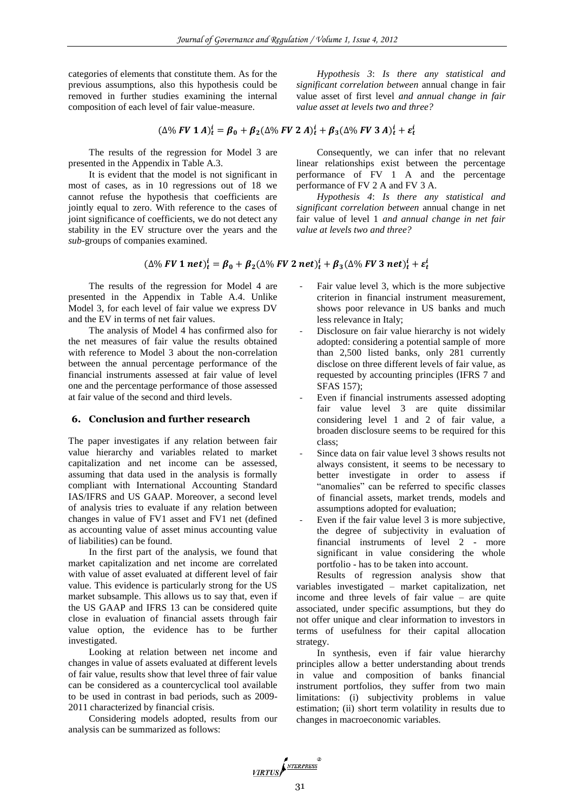categories of elements that constitute them. As for the previous assumptions, also this hypothesis could be removed in further studies examining the internal composition of each level of fair value-measure.

*Hypothesis 3*: *Is there any statistical and significant correlation between* annual change in fair value asset of first level *and annual change in fair value asset at levels two and three?*

$$
(\Delta\% \, FV \, 1 \, A)_t^i = \beta_0 + \beta_2 (\Delta\% \, FV \, 2 \, A)_t^i + \beta_3 (\Delta\% \, FV \, 3 \, A)_t^i + \varepsilon_t^i
$$

The results of the regression for Model 3 are presented in the Appendix in Table A.3.

It is evident that the model is not significant in most of cases, as in 10 regressions out of 18 we cannot refuse the hypothesis that coefficients are jointly equal to zero. With reference to the cases of joint significance of coefficients, we do not detect any stability in the EV structure over the years and the *sub*-groups of companies examined.

Consequently, we can infer that no relevant linear relationships exist between the percentage performance of FV 1 A and the percentage performance of FV 2 A and FV 3 A.

*Hypothesis 4*: *Is there any statistical and significant correlation between* annual change in net fair value of level 1 *and annual change in net fair value at levels two and three?*

 $(\Delta\%$  FV 1 net) $_{t}^{i} = \beta_0 + \beta_2(\Delta\%$  FV 2 net) $_{t}^{i} + \beta_3(\Delta\%$  FV 3 net) $_{t}^{i} + \varepsilon_t^{i}$ 

The results of the regression for Model 4 are presented in the Appendix in Table A.4. Unlike Model 3, for each level of fair value we express DV and the EV in terms of net fair values.

The analysis of Model 4 has confirmed also for the net measures of fair value the results obtained with reference to Model 3 about the non-correlation between the annual percentage performance of the financial instruments assessed at fair value of level one and the percentage performance of those assessed at fair value of the second and third levels.

# **6. Conclusion and further research**

The paper investigates if any relation between fair value hierarchy and variables related to market capitalization and net income can be assessed, assuming that data used in the analysis is formally compliant with International Accounting Standard IAS/IFRS and US GAAP. Moreover, a second level of analysis tries to evaluate if any relation between changes in value of FV1 asset and FV1 net (defined as accounting value of asset minus accounting value of liabilities) can be found.

In the first part of the analysis, we found that market capitalization and net income are correlated with value of asset evaluated at different level of fair value. This evidence is particularly strong for the US market subsample. This allows us to say that, even if the US GAAP and IFRS 13 can be considered quite close in evaluation of financial assets through fair value option, the evidence has to be further investigated.

Looking at relation between net income and changes in value of assets evaluated at different levels of fair value, results show that level three of fair value can be considered as a countercyclical tool available to be used in contrast in bad periods, such as 2009- 2011 characterized by financial crisis.

Considering models adopted, results from our analysis can be summarized as follows:

- Fair value level 3, which is the more subjective criterion in financial instrument measurement, shows poor relevance in US banks and much less relevance in Italy;
- Disclosure on fair value hierarchy is not widely adopted: considering a potential sample of more than 2,500 listed banks, only 281 currently disclose on three different levels of fair value, as requested by accounting principles (IFRS 7 and SFAS 157);
- Even if financial instruments assessed adopting fair value level 3 are quite dissimilar considering level 1 and 2 of fair value, a broaden disclosure seems to be required for this class;
- Since data on fair value level 3 shows results not always consistent, it seems to be necessary to better investigate in order to assess if "anomalies" can be referred to specific classes of financial assets, market trends, models and assumptions adopted for evaluation;
- Even if the fair value level 3 is more subjective, the degree of subjectivity in evaluation of financial instruments of level 2 - more significant in value considering the whole portfolio - has to be taken into account.

Results of regression analysis show that variables investigated – market capitalization, net income and three levels of fair value – are quite associated, under specific assumptions, but they do not offer unique and clear information to investors in terms of usefulness for their capital allocation strategy.

In synthesis, even if fair value hierarchy principles allow a better understanding about trends in value and composition of banks financial instrument portfolios, they suffer from two main limitations: (i) subjectivity problems in value estimation; (ii) short term volatility in results due to changes in macroeconomic variables.

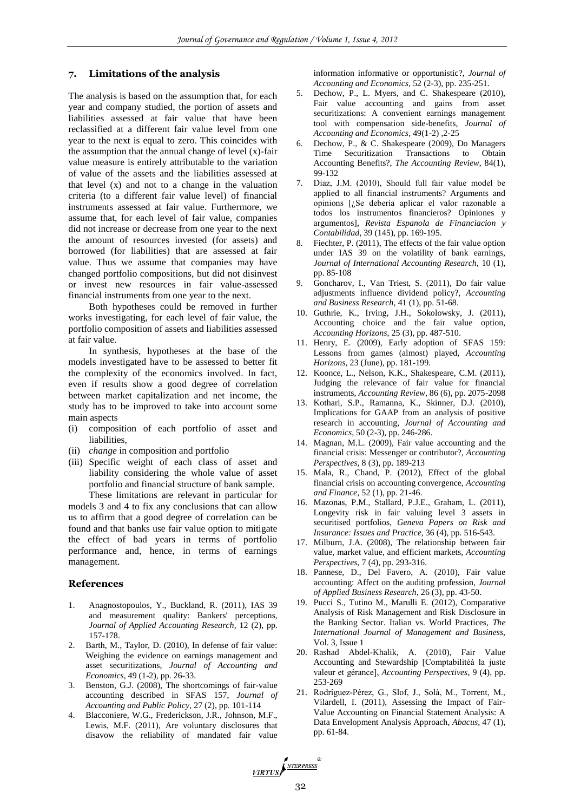#### **7. Limitations of the analysis**

The analysis is based on the assumption that, for each year and company studied, the portion of assets and liabilities assessed at fair value that have been reclassified at a different fair value level from one year to the next is equal to zero. This coincides with the assumption that the annual change of level  $(x)$ -fair value measure is entirely attributable to the variation of value of the assets and the liabilities assessed at that level (x) and not to a change in the valuation criteria (to a different fair value level) of financial instruments assessed at fair value. Furthermore, we assume that, for each level of fair value, companies did not increase or decrease from one year to the next the amount of resources invested (for assets) and borrowed (for liabilities) that are assessed at fair value. Thus we assume that companies may have changed portfolio compositions, but did not disinvest or invest new resources in fair value-assessed financial instruments from one year to the next.

Both hypotheses could be removed in further works investigating, for each level of fair value, the portfolio composition of assets and liabilities assessed at fair value.

In synthesis, hypotheses at the base of the models investigated have to be assessed to better fit the complexity of the economics involved. In fact, even if results show a good degree of correlation between market capitalization and net income, the study has to be improved to take into account some main aspects

- (i) composition of each portfolio of asset and liabilities.
- (ii) *change* in composition and portfolio
- (iii) Specific weight of each class of asset and liability considering the whole value of asset portfolio and financial structure of bank sample.

These limitations are relevant in particular for models 3 and 4 to fix any conclusions that can allow us to affirm that a good degree of correlation can be found and that banks use fair value option to mitigate the effect of bad years in terms of portfolio performance and, hence, in terms of earnings management.

#### **References**

- 1. Anagnostopoulos, Y., Buckland, R. (2011), IAS 39 and measurement quality: Bankers' perceptions, *Journal of Applied Accounting Research*, 12 (2), pp. 157-178.
- 2. Barth, M., Taylor, D. (2010), In defense of fair value: Weighing the evidence on earnings management and asset securitizations, *Journal of Accounting and Economics*, 49 (1-2), pp. 26-33.
- 3. Benston, G.J. (2008), The shortcomings of fair-value accounting described in SFAS 157, *Journal of Accounting and Public Policy*, 27 (2), pp. 101-114
- 4. Blacconiere, W.G., Frederickson, J.R., Johnson, M.F., Lewis, M.F. (2011), Are voluntary disclosures that disavow the reliability of mandated fair value

information informative or opportunistic?, *Journal of Accounting and Economics*, 52 (2-3), pp. 235-251.

- 5. Dechow, P., L. Myers, and C. Shakespeare (2010), Fair value accounting and gains from asset securitizations: A convenient earnings management tool with compensation side-benefits, *Journal of Accounting and Economics*, 49(1-2) ,2-25
- 6. Dechow, P., & C. Shakespeare (2009), Do Managers Time Securitization Transactions to Obtain Accounting Benefits?, *The Accounting Review*, 84(1), 99-132
- 7. Díaz, J.M. (2010), Should full fair value model be applied to all financial instruments? Arguments and opinions [¿Se debería aplicar el valor razonable a todos los instrumentos financieros? Opiniones y argumentos], *Revista Espanola de Financiacion y Contabilidad*, 39 (145), pp. 169-195.
- 8. Fiechter, P. (2011), The effects of the fair value option under IAS 39 on the volatility of bank earnings, *Journal of International Accounting Research*, 10 (1), pp. 85-108
- 9. Goncharov, I., Van Triest, S. (2011), Do fair value adjustments influence dividend policy?, *Accounting and Business Research*, 41 (1), pp. 51-68.
- 10. Guthrie, K., Irving, J.H., Sokolowsky, J. (2011), Accounting choice and the fair value option, *Accounting Horizons*, 25 (3), pp. 487-510.
- 11. Henry, E. (2009), Early adoption of SFAS 159: Lessons from games (almost) played, *Accounting Horizons,* 23 (June), pp. 181-199.
- 12. Koonce, L., Nelson, K.K., Shakespeare, C.M. (2011), Judging the relevance of fair value for financial instruments, *Accounting Review*, 86 (6), pp. 2075-2098
- 13. Kothari, S.P., Ramanna, K., Skinner, D.J. (2010), Implications for GAAP from an analysis of positive research in accounting, *Journal of Accounting and Economics*, 50 (2-3), pp. 246-286.
- 14. Magnan, M.L. (2009), Fair value accounting and the financial crisis: Messenger or contributor?, *Accounting Perspectives*, 8 (3), pp. 189-213
- 15. Mala, R., Chand, P. (2012), Effect of the global financial crisis on accounting convergence, *Accounting and Finance*, 52 (1), pp. 21-46.
- 16. Mazonas, P.M., Stallard, P.J.E., Graham, L. (2011), Longevity risk in fair valuing level 3 assets in securitised portfolios, *Geneva Papers on Risk and Insurance: Issues and Practice*, 36 (4), pp. 516-543.
- 17. Milburn, J.A. (2008), The relationship between fair value, market value, and efficient markets, *Accounting Perspectives*, 7 (4), pp. 293-316.
- 18. Pannese, D., Del Favero, A. (2010), Fair value accounting: Affect on the auditing profession, *Journal of Applied Business Research*, 26 (3), pp. 43-50.
- 19. Pucci S., Tutino M., Marulli E. (2012), Comparative Analysis of Risk Management and Risk Disclosure in the Banking Sector. Italian vs. World Practices, *The International Journal of Management and Business,*  Vol. 3, Issue 1
- 20. Rashad Abdel-Khalik, A. (2010), Fair Value Accounting and Stewardship [Comptabilitéà la juste valeur et gérance], *Accounting Perspectives*, 9 (4), pp. 253-269
- 21. Rodríguez-Pérez, G., Slof, J., Solà, M., Torrent, M., Vilardell, I. (2011), Assessing the Impact of Fair-Value Accounting on Financial Statement Analysis: A Data Envelopment Analysis Approach, *Abacus*, 47 (1), pp. 61-84.

VIRTUS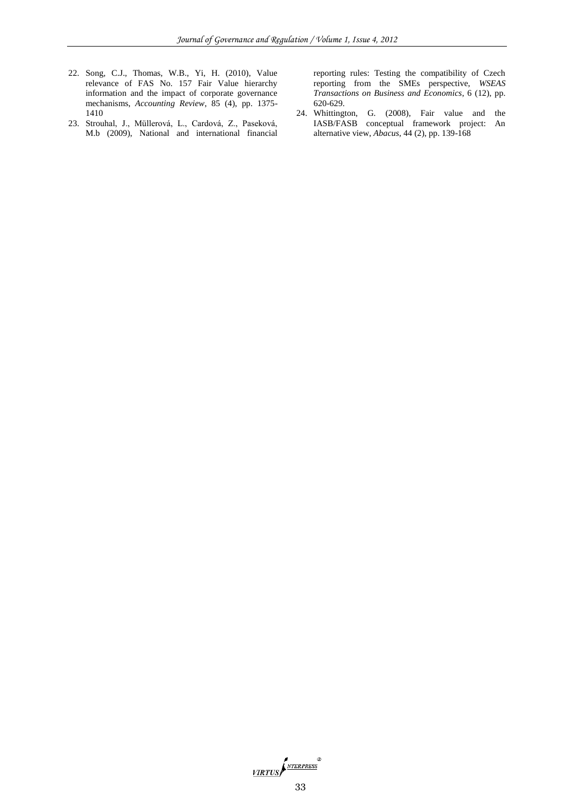- 22. Song, C.J., Thomas, W.B., Yi, H. (2010), Value relevance of FAS No. 157 Fair Value hierarchy information and the impact of corporate governance mechanisms, *Accounting Review*, 85 (4), pp. 1375- 1410
- 23. Strouhal, J., Müllerová, L., Cardová, Z., Paseková, M.b (2009), National and international financial

reporting rules: Testing the compatibility of Czech reporting from the SMEs perspective, *WSEAS Transactions on Business and Economics*, 6 (12), pp. 620-629.

24. Whittington, G. (2008), Fair value and the IASB/FASB conceptual framework project: An alternative view, *Abacus*, 44 (2), pp. 139-168

VIRTUS NEERPRESS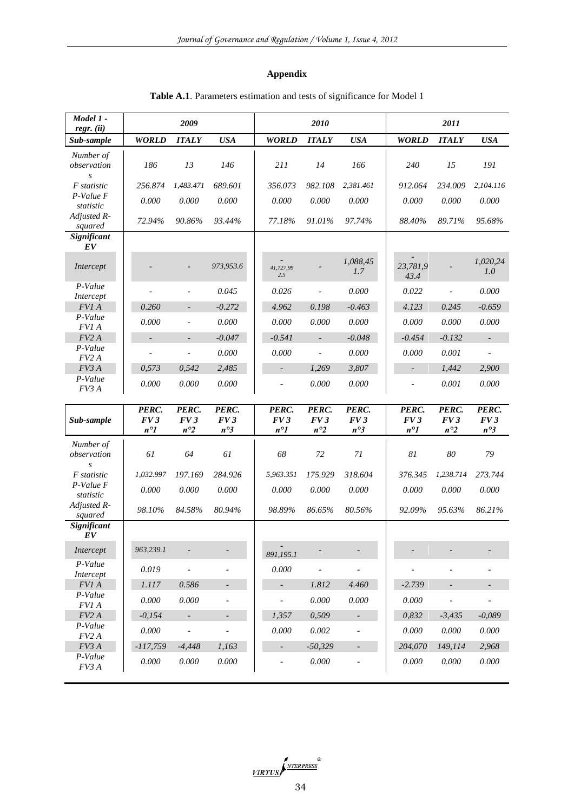# **Appendix**

| Model 1 -<br>$regr.$ (ii)                    |                              | 2009                         |                              |                              | 2010                         |                              |                              | 2011                         |                              |
|----------------------------------------------|------------------------------|------------------------------|------------------------------|------------------------------|------------------------------|------------------------------|------------------------------|------------------------------|------------------------------|
| Sub-sample                                   | <b>WORLD</b>                 | <b>ITALY</b>                 | <b>USA</b>                   | <b>WORLD</b>                 | <b>ITALY</b>                 | <b>USA</b>                   | <b>WORLD</b>                 | <b>ITALY</b>                 | <b>USA</b>                   |
| Number of<br>observation<br>$\boldsymbol{S}$ | 186                          | 13                           | 146                          | 211                          | 14                           | 166                          | 240                          | 15                           | 191                          |
| <i>F</i> statistic                           | 256.874                      | 1,483.471                    | 689.601                      | 356.073                      | 982.108                      | 2,381.461                    | 912.064                      | 234.009                      | 2,104.116                    |
| P-Value F<br>statistic                       | 0.000                        | 0.000                        | 0.000                        | 0.000                        | 0.000                        | 0.000                        | 0.000                        | 0.000                        | 0.000                        |
| Adjusted R-<br>squared                       | 72.94%                       | 90.86%                       | 93.44%                       | 77.18%                       | 91.01%                       | 97.74%                       | 88.40%                       | 89.71%                       | 95.68%                       |
| Significant<br>EV                            |                              |                              |                              |                              |                              |                              |                              |                              |                              |
| Intercept                                    |                              |                              | 973,953.6                    | 41,727,99<br>2.5             |                              | 1,088,45<br>1.7              | 23,781,9<br>43.4             |                              | 1,020,24<br>1.0              |
| P-Value<br>Intercept                         | $\overline{a}$               | $\overline{\phantom{a}}$     | 0.045                        | 0.026                        | $\overline{a}$               | 0.000                        | 0.022                        | $\blacksquare$               | 0.000                        |
| FV1 A                                        | 0.260                        | $\overline{\phantom{a}}$     | $-0.272$                     | 4.962                        | 0.198                        | $-0.463$                     | 4.123                        | 0.245                        | $-0.659$                     |
| P-Value<br>FV1 A                             | 0.000                        | $\overline{\phantom{a}}$     | 0.000                        | 0.000                        | 0.000                        | 0.000                        | 0.000                        | 0.000                        | 0.000                        |
| FV2A                                         | $\overline{a}$               | $\overline{a}$               | $-0.047$                     | $-0.541$                     | $\overline{\phantom{a}}$     | $-0.048$                     | $-0.454$                     | $-0.132$                     | $\sim$                       |
| P-Value<br>FV2A                              |                              | $\overline{a}$               | 0.000                        | 0.000                        | $\overline{a}$               | 0.000                        | 0.000                        | 0.001                        | $\blacksquare$               |
| FV3A                                         | 0,573                        | 0,542                        | 2,485                        | $\overline{\phantom{a}}$     | 1,269                        | 3,807                        | $\overline{\phantom{a}}$     | 1.442                        | 2,900                        |
| P-Value<br>FV3 A                             | 0.000                        | 0.000                        | 0.000                        | ÷,                           | 0.000                        | 0.000                        | $\overline{a}$               | 0.001                        | 0.000                        |
| Sub-sample                                   | PERC.<br>FV3<br>$n^{\circ}1$ | PERC.<br>FV3<br>$n^{\circ}2$ | PERC.<br>FV3<br>$n^{\circ}3$ | PERC.<br>FV3<br>$n^{\circ}1$ | PERC.<br>FV3<br>$n^{\circ}2$ | PERC.<br>FV3<br>$n^{\circ}3$ | PERC.<br>FV3<br>$n^{\circ}1$ | PERC.<br>FV3<br>$n^{\circ}2$ | PERC.<br>FV3<br>$n^{\circ}3$ |
| Number of                                    |                              |                              |                              |                              |                              |                              |                              |                              |                              |
| observation<br>$\boldsymbol{S}$              | 61                           | 64                           | 61                           | 68                           | 72                           | 71                           | 81                           | 80                           | 79                           |
| <i>F</i> statistic                           | 1,032.997                    | 197.169                      | 284.926                      | 5,963.351                    | 175.929                      | 318.604                      | 376.345                      | 1,238.714                    | 273.744                      |
| P-Value F<br>statistic                       | 0.000                        | 0.000                        | 0.000                        | 0.000                        | 0.000                        | 0.000                        | 0.000                        | 0.000                        | 0.000                        |
| Adjusted R-<br>squared                       | 98.10%                       | 84.58%                       | 80.94%                       | 98.89%                       | 86.65%                       | 80.56%                       | 92.09%                       | 95.63%                       | 86.21%                       |
| Significant<br>EV                            |                              |                              |                              |                              |                              |                              |                              |                              |                              |
| Intercept                                    | 963,239.1                    |                              |                              | 891,195.1                    |                              |                              |                              |                              |                              |
| P-Value<br>Intercept                         | 0.019                        | $\overline{a}$               | $\overline{\phantom{a}}$     | 0.000                        | $\overline{a}$               | $\overline{\phantom{a}}$     |                              |                              |                              |
| $FVI$ $\boldsymbol{A}$                       | $1.117$                      | 0.586                        | $\Box$                       | ÷.                           | 1.812                        | 4.460                        | $-2.739$                     | $\overline{\phantom{a}}$     | $\overline{\phantom{a}}$     |
| P-Value<br><i>FVI A</i>                      | 0.000                        | 0.000                        | $\overline{\phantom{a}}$     | $\overline{\phantom{a}}$     | 0.000                        | $0.000\,$                    | 0.000                        | $\overline{\phantom{a}}$     | $\blacksquare$               |
| $FV2\,A$                                     | $-0,154$                     | $\Box$                       | $\overline{\phantom{a}}$     | 1,357                        | 0,509                        | $\sim$                       | 0,832                        | $-3,435$                     | $-0,089$                     |
| P-Value<br>FV <sub>2</sub> A                 | 0.000                        | $\overline{a}$               | $\blacksquare$               | 0.000                        | 0.002                        | $\overline{\phantom{a}}$     | 0.000                        | $0.000\,$                    | $0.000\,$                    |
| FV3 A                                        | $-117,759$                   | $-4,448$                     | 1,163                        | $\overline{\phantom{a}}$     | $-50,329$                    | $\sim$                       | 204,070                      | 149,114                      | 2,968                        |
| P-Value<br>FV3 A                             | 0.000                        | 0.000                        | $0.000\,$                    |                              | 0.000                        |                              | 0.000                        | 0.000                        | $0.000\,$                    |

# **Table A.1**. Parameters estimation and tests of significance for Model 1

VIRTUS P<sup>NTERPRESS</sup><br>34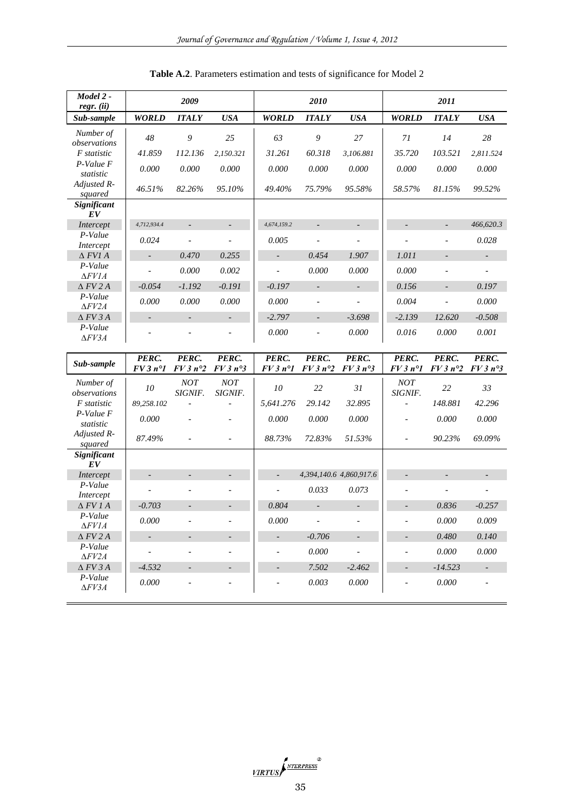| Model 2 -<br>$regr.$ $(ii)$                    |                          | 2009            |                          |                          | 2010                     |                          |                          | 2011                     |                              |
|------------------------------------------------|--------------------------|-----------------|--------------------------|--------------------------|--------------------------|--------------------------|--------------------------|--------------------------|------------------------------|
| Sub-sample                                     | <b>WORLD</b>             | <b>ITALY</b>    | <b>USA</b>               | <b>WORLD</b>             | <b>ITALY</b>             | <b>USA</b>               | <b>WORLD</b>             | <b>ITALY</b>             | <b>USA</b>                   |
| Number of                                      | 48                       | 9               | 25                       | 63                       | 9                        | 27                       | 71                       | 14                       | 28                           |
| observations                                   |                          |                 |                          |                          |                          |                          |                          |                          |                              |
| F statistic                                    | 41.859                   | 112.136         | 2,150.321                | 31.261                   | 60.318                   | 3,106.881                | 35.720                   | 103.521                  | 2,811.524                    |
| P-Value F<br>statistic                         | 0.000                    | 0.000           | 0.000                    | 0.000                    | 0.000                    | 0.000                    | 0.000                    | 0.000                    | 0.000                        |
| Adjusted R-<br>squared                         | 46.51%                   | 82.26%          | 95.10%                   | 49.40%                   | 75.79%                   | 95.58%                   | 58.57%                   | 81.15%                   | 99.52%                       |
| Significant<br>EV                              |                          |                 |                          |                          |                          |                          |                          |                          |                              |
| Intercept                                      | 4,712,934.4              |                 | $\overline{\phantom{a}}$ | 4,674,159.2              |                          | $\overline{\phantom{a}}$ |                          |                          | 466,620.3                    |
| P-Value                                        | 0.024                    | $\overline{a}$  | $\overline{\phantom{a}}$ | 0.005                    | $\overline{a}$           | $\overline{\phantom{0}}$ |                          | $\overline{a}$           | 0.028                        |
| Intercept                                      |                          |                 |                          |                          |                          |                          |                          |                          |                              |
| $\Delta$ FVI A                                 | $\overline{\phantom{a}}$ | 0.470           | 0.255                    | $\overline{\phantom{a}}$ | 0.454                    | 1.907                    | 1.011                    | $\overline{\phantom{a}}$ | ÷.                           |
| P-Value<br>$\Delta F V I A$                    | $\overline{\phantom{a}}$ | 0.000           | 0.002                    | $\overline{\phantom{a}}$ | 0.000                    | 0.000                    | 0.000                    | $\frac{1}{2}$            | $\qquad \qquad \blacksquare$ |
| $\Delta$ FV 2 A                                | $-0.054$                 | $-1.192$        | $-0.191$                 | $-0.197$                 | $\overline{\phantom{a}}$ | $\overline{\phantom{a}}$ | 0.156                    | $\overline{\phantom{a}}$ | 0.197                        |
| P-Value<br>$\Delta FV2A$                       | 0.000                    | 0.000           | 0.000                    | 0.000                    |                          |                          | 0.004                    |                          | 0.000                        |
| $\triangle$ FV 3 A                             |                          |                 | $\overline{\phantom{a}}$ | $-2.797$                 | $\overline{\phantom{a}}$ | $-3.698$                 | $-2.139$                 | 12.620                   | $-0.508$                     |
| P-Value                                        |                          |                 |                          | 0.000                    |                          | 0.000                    | 0.016                    | 0.000                    | 0.001                        |
| $\Delta FV3A$                                  |                          |                 |                          |                          |                          |                          |                          |                          |                              |
|                                                |                          |                 |                          |                          |                          |                          |                          |                          |                              |
| Sub-sample                                     | PERC.                    | PERC.           | PERC.                    | PERC.                    | PERC.                    | PERC.                    | PERC.                    | PERC.                    | PERC.                        |
|                                                | $FV3n^{\circ}I$          | $FV3n^{\circ}2$ | $FV3n^{\circ}3$          | $FV3n^{\circ}I$          | $FV3n^{\circ}2$          | $FV3n^{\circ}3$          | $FV3n^{\circ}1$          | $FV3n^{\circ}2$          | $FV3n^{\circ}3$              |
| Number of<br>observations                      | 10                       | NOT<br>SIGNIF.  | $\emph{NOT}$<br>SIGNIF.  | 10                       | 22                       | 31                       | $NOT$<br>SIGNIF.         | 22                       | 33                           |
| F statistic                                    | 89,258.102               |                 |                          | 5,641.276                | 29.142                   | 32.895                   | ÷,                       | 148.881                  | 42.296                       |
| P-Value F<br>statistic                         | 0.000                    |                 |                          | 0.000                    | 0.000                    | 0.000                    |                          | 0.000                    | 0.000                        |
| Adjusted R-                                    | 87.49%                   |                 |                          | 88.73%                   | 72.83%                   | 51.53%                   | $\overline{\phantom{a}}$ | 90.23%                   | 69.09%                       |
| squared<br>Significant                         |                          |                 |                          |                          |                          |                          |                          |                          |                              |
| EV                                             |                          |                 |                          |                          |                          |                          |                          |                          |                              |
| Intercept                                      | $\overline{\phantom{a}}$ | $\overline{a}$  | $\overline{\phantom{a}}$ |                          |                          | 4,394,140.6 4,860,917.6  | $\overline{\phantom{a}}$ | $\overline{a}$           | $\overline{\phantom{a}}$     |
| P-Value                                        | $\overline{\phantom{a}}$ |                 |                          |                          | 0.033                    | 0.073                    |                          |                          |                              |
| Intercept<br>$\Delta$ FV 1 A                   | $-0.703$                 |                 | $\blacksquare$           | 0.804                    |                          |                          |                          | 0.836                    | $-0.257$                     |
| P-Value                                        | $0.000\,$                |                 |                          | 0.000                    |                          |                          |                          | $0.000\,$                | 0.009                        |
| $\Delta F V I A$                               |                          |                 |                          |                          |                          |                          |                          |                          |                              |
| $\triangle$ FV 2 A<br>P-Value                  |                          |                 |                          |                          | $-0.706$<br>0.000        | $\overline{\phantom{a}}$ |                          | 0.480<br>0.000           | 0.140<br>0.000               |
| $\Delta FV2A$                                  |                          |                 |                          |                          |                          |                          |                          |                          |                              |
| $\triangle$ FV 3 A<br>P-Value<br>$\Delta FV3A$ | $-4.532$<br>0.000        |                 |                          |                          | 7.502<br>0.003           | $-2.462$<br>0.000        |                          | $-14.523$<br>$0.000\,$   |                              |

**Table A.2**. Parameters estimation and tests of significance for Model 2

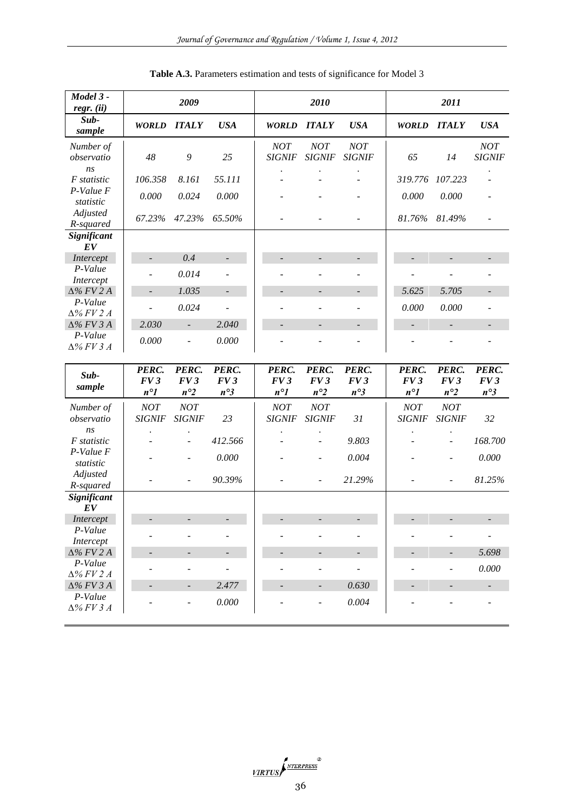| Model 3 -<br>$regr.$ (ii)    |                                      | 2009                                 |                                           |                                      | 2010                                 |                                           |                                      | 2011                                 |                          |
|------------------------------|--------------------------------------|--------------------------------------|-------------------------------------------|--------------------------------------|--------------------------------------|-------------------------------------------|--------------------------------------|--------------------------------------|--------------------------|
| Sub-<br>sample               | <b>WORLD</b>                         | <b>ITALY</b>                         | <b>USA</b>                                | <b>WORLD</b>                         | <b>ITALY</b>                         | <b>USA</b>                                | <b>WORLD</b>                         | <b>ITALY</b>                         | <b>USA</b>               |
| Number of<br>observatio      | 48                                   | 9                                    | 25                                        | NOT<br><b>SIGNIF</b>                 | NOT<br><b>SIGNIF</b>                 | NOT<br><b>SIGNIF</b>                      | 65                                   | 14                                   | NOT<br><b>SIGNIF</b>     |
| ns<br>F statistic            | 106.358                              | 8.161                                | 55.111                                    |                                      |                                      |                                           | 319.776                              | 107.223                              |                          |
| $P-Value F$<br>statistic     | 0.000                                | 0.024                                | 0.000                                     |                                      |                                      |                                           | 0.000                                | 0.000                                |                          |
| Adjusted<br>R-squared        | 67.23%                               | 47.23%                               | 65.50%                                    |                                      |                                      |                                           | 81.76%                               | 81.49%                               |                          |
| Significant                  |                                      |                                      |                                           |                                      |                                      |                                           |                                      |                                      |                          |
| EV<br>Intercept              |                                      | 0.4                                  | $\overline{\phantom{m}}$                  |                                      |                                      |                                           |                                      |                                      |                          |
| P-Value                      |                                      |                                      |                                           |                                      |                                      |                                           |                                      |                                      |                          |
| Intercept                    |                                      | 0.014                                |                                           |                                      |                                      |                                           |                                      |                                      |                          |
| $\Delta\%$ FV 2 A            |                                      | 1.035                                | $\overline{\phantom{a}}$                  |                                      |                                      | $\overline{\phantom{a}}$                  | 5.625                                | 5.705                                | $\overline{\phantom{a}}$ |
| P-Value<br>$\Delta%$ FV 2 A  |                                      | 0.024                                |                                           |                                      |                                      |                                           | 0.000                                | 0.000                                |                          |
| $\Delta\%$ FV 3 A            | 2.030                                | $\blacksquare$                       | 2.040                                     |                                      |                                      |                                           |                                      | $\overline{\phantom{a}}$             |                          |
| P-Value<br>$\Delta%$ FV 3 A  | 0.000                                | $\overline{a}$                       | 0.000                                     |                                      |                                      |                                           |                                      |                                      |                          |
|                              |                                      |                                      |                                           |                                      |                                      |                                           |                                      |                                      |                          |
| Sub-<br>sample               | PERC.<br>FV3                         | PERC.<br>FV3                         | PERC.<br>FV3                              | PERC.<br>FV3                         | PERC.<br>FV3                         | PERC.<br>FV3                              | PERC.<br>FV3                         | PERC.<br>FV3                         | PERC.<br>FV3             |
| Number of<br>observatio      | $n^{\circ}1$<br>NOT<br><b>SIGNIF</b> | $n^{\circ}2$<br>NOT<br><b>SIGNIF</b> | $n^{\circ}3$<br>23                        | $n^{\circ}1$<br>NOT<br><b>SIGNIF</b> | $n^{\circ}2$<br>NOT<br><b>SIGNIF</b> | $n^{\circ}3$<br>31                        | $n^{\circ}1$<br>NOT<br><b>SIGNIF</b> | $n^{\circ}2$<br>NOT<br><b>SIGNIF</b> | $n^{\circ}3$<br>32       |
| ns<br>F statistic            |                                      |                                      | 412.566                                   |                                      |                                      | 9.803                                     |                                      |                                      | 168.700                  |
| P-Value F                    |                                      |                                      | 0.000                                     |                                      |                                      | 0.004                                     |                                      |                                      | 0.000                    |
| statistic<br>Adjusted        |                                      |                                      | 90.39%                                    |                                      |                                      | 21.29%                                    |                                      |                                      | 81.25%                   |
| R-squared<br>Significant     |                                      |                                      |                                           |                                      |                                      |                                           |                                      |                                      |                          |
| EV                           |                                      |                                      |                                           |                                      |                                      |                                           |                                      |                                      |                          |
| Intercept<br>P-Value         |                                      |                                      |                                           |                                      |                                      |                                           |                                      |                                      |                          |
| Intercept                    |                                      |                                      |                                           |                                      |                                      |                                           |                                      | $\overline{\phantom{0}}$             |                          |
| $\Delta\%$ FV 2 A<br>P-Value |                                      |                                      | $\overline{\phantom{a}}$<br>$\frac{1}{2}$ |                                      | $\overline{\phantom{a}}$             | $\overline{\phantom{a}}$<br>$\frac{1}{2}$ |                                      |                                      | 5.698<br>0.000           |
| $\Delta%$ FV 2 A             |                                      |                                      |                                           |                                      |                                      |                                           |                                      |                                      |                          |
| $\Delta\%$ FV 3 A<br>P-Value |                                      |                                      | 2.477<br>$0.000\,$                        |                                      |                                      | 0.630<br>0.004                            |                                      |                                      |                          |

**Table A.3.** Parameters estimation and tests of significance for Model 3

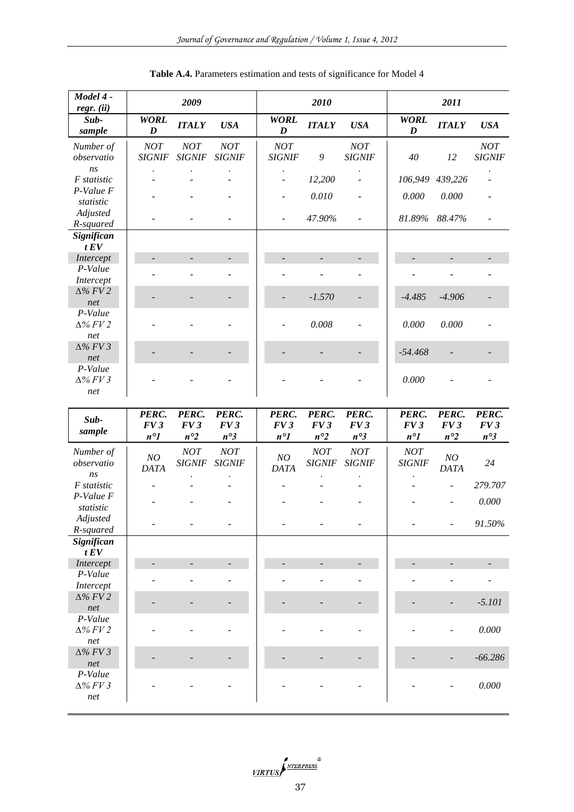| Model 4 -<br>regr. (ii)             |                              | 2009                         |                              |                              | 2010                         |                              |                              | 2011                         |                              |
|-------------------------------------|------------------------------|------------------------------|------------------------------|------------------------------|------------------------------|------------------------------|------------------------------|------------------------------|------------------------------|
| Sub-<br>sample                      | <b>WORL</b><br>D             | <b>ITALY</b>                 | <b>USA</b>                   | <b>WORL</b><br>D             | <b>ITALY</b>                 | <b>USA</b>                   | <b>WORL</b><br>D             | <b>ITALY</b>                 | <b>USA</b>                   |
| Number of<br>observatio             | NOT<br><b>SIGNIF</b>         | NOT<br><b>SIGNIF</b>         | NOT<br><b>SIGNIF</b>         | NOT<br><b>SIGNIF</b>         | 9                            | NOT<br><b>SIGNIF</b>         | 40                           | 12                           | NOT<br><b>SIGNIF</b>         |
| ns<br>F statistic                   |                              |                              |                              | $\overline{a}$               | 12,200                       | $\overline{\phantom{a}}$     | 106,949                      | 439,226                      |                              |
| P-Value F<br>statistic              |                              |                              |                              |                              | 0.010                        |                              | 0.000                        | 0.000                        |                              |
| Adjusted<br>R-squared               |                              |                              |                              | $\overline{a}$               | 47.90%                       | $\overline{\phantom{a}}$     | 81.89%                       | 88.47%                       | $\overline{a}$               |
| Significan<br>tEV                   |                              |                              |                              |                              |                              |                              |                              |                              |                              |
| Intercept                           |                              |                              | $\overline{\phantom{m}}$     |                              |                              | $\overline{\phantom{a}}$     |                              |                              |                              |
| P-Value<br>Intercept                |                              |                              |                              |                              |                              | $\overline{\phantom{a}}$     |                              |                              |                              |
| $\Delta\%$ FV 2<br>net<br>P-Value   |                              |                              |                              |                              | $-1.570$                     |                              | $-4.485$                     | $-4.906$                     |                              |
| $\Delta\%$ FV 2<br>net              |                              |                              |                              |                              | 0.008                        |                              | 0.000                        | 0.000                        |                              |
| $\Delta\%$ FV 3<br>net              |                              |                              |                              |                              |                              |                              | $-54.468$                    |                              |                              |
| $P-Value$<br>$\Delta\%$ FV 3<br>net |                              |                              |                              |                              |                              |                              | 0.000                        |                              |                              |
| Sub-<br>sample                      | PERC.<br>FV3<br>$n^{\circ}1$ | PERC.<br>FV3<br>$n^{\circ}2$ | PERC.<br>FV3<br>$n^{\circ}3$ | PERC.<br>FV3<br>$n^{\circ}1$ | PERC.<br>FV3<br>$n^{\circ}2$ | PERC.<br>FV3<br>$n^{\circ}3$ | PERC.<br>FV3<br>$n^{\circ}1$ | PERC.<br>FV3<br>$n^{\circ}2$ | PERC.<br>FV3<br>$n^{\circ}3$ |
| Number of<br>observatio<br>ns       | NO<br><b>DATA</b>            | NOT<br><b>SIGNIF</b>         | NOT<br><b>SIGNIF</b>         | NO<br><b>DATA</b>            | NOT<br><b>SIGNIF</b>         | NOT<br><b>SIGNIF</b>         | NOT<br><b>SIGNIF</b>         | NO<br><b>DATA</b>            | 24                           |
| F statistic<br>P-Value F            |                              |                              |                              |                              |                              |                              |                              |                              | 279.707                      |
| statistic                           |                              |                              |                              |                              |                              |                              |                              |                              | 0.000                        |
| Adjusted<br>R-squared               |                              |                              |                              |                              |                              |                              |                              |                              | 91.50%                       |
| Significan<br>tEV                   |                              |                              |                              |                              |                              |                              |                              |                              |                              |
| Intercept                           |                              |                              |                              |                              |                              |                              |                              |                              |                              |
| P-Value<br>Intercept                |                              |                              |                              |                              |                              |                              |                              |                              |                              |
| $\Delta\%$ FV 2<br>net              |                              |                              |                              |                              |                              |                              |                              |                              | $-5.101$                     |
| P-Value<br>$\Delta\%$ FV 2<br>net   |                              |                              |                              |                              |                              |                              |                              |                              | 0.000                        |
| $\Delta\%$ FV 3<br>net              |                              |                              |                              |                              |                              |                              |                              |                              | $-66.286$                    |
| P-Value<br>$\Delta\%$ FV 3          |                              |                              |                              |                              |                              |                              |                              |                              | 0.000                        |
| $\it net$                           |                              |                              |                              |                              |                              |                              |                              |                              |                              |

VIRTUS STREEPRESS